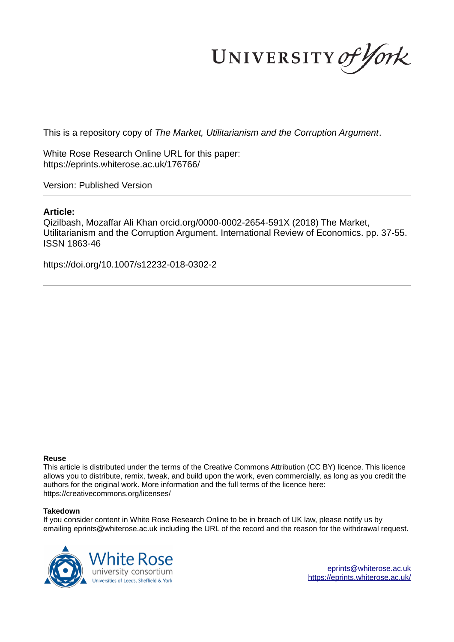UNIVERSITY of York

This is a repository copy of *The Market, Utilitarianism and the Corruption Argument*.

White Rose Research Online URL for this paper: https://eprints.whiterose.ac.uk/176766/

Version: Published Version

# **Article:**

Qizilbash, Mozaffar Ali Khan orcid.org/0000-0002-2654-591X (2018) The Market, Utilitarianism and the Corruption Argument. International Review of Economics. pp. 37-55. ISSN 1863-46

https://doi.org/10.1007/s12232-018-0302-2

# **Reuse**

This article is distributed under the terms of the Creative Commons Attribution (CC BY) licence. This licence allows you to distribute, remix, tweak, and build upon the work, even commercially, as long as you credit the authors for the original work. More information and the full terms of the licence here: https://creativecommons.org/licenses/

# **Takedown**

If you consider content in White Rose Research Online to be in breach of UK law, please notify us by emailing eprints@whiterose.ac.uk including the URL of the record and the reason for the withdrawal request.



eprints@whiterose.ac.uk https://eprints.whiterose.ac.uk/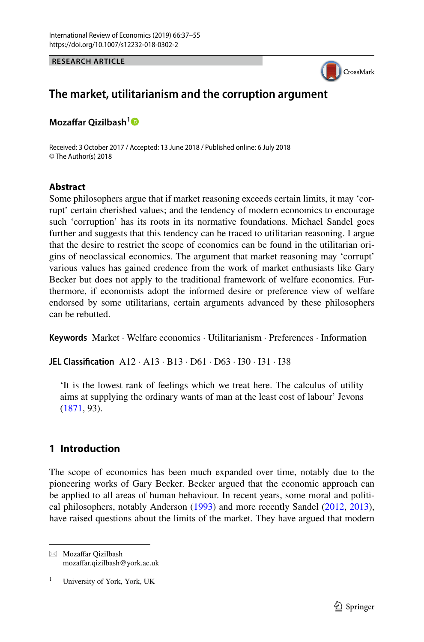**RESEARCH ARTICLE**



# **The market, utilitarianism and the corruption argument**

**Mozaffar Qizilbash[1](http://orcid.org/0000-0002-2654-591X)**

Received: 3 October 2017 / Accepted: 13 June 2018 / Published online: 6 July 2018 © The Author(s) 2018

# **Abstract**

Some philosophers argue that if market reasoning exceeds certain limits, it may 'corrupt' certain cherished values; and the tendency of modern economics to encourage such 'corruption' has its roots in its normative foundations. Michael Sandel goes further and suggests that this tendency can be traced to utilitarian reasoning. I argue that the desire to restrict the scope of economics can be found in the utilitarian origins of neoclassical economics. The argument that market reasoning may 'corrupt' various values has gained credence from the work of market enthusiasts like Gary Becker but does not apply to the traditional framework of welfare economics. Furthermore, if economists adopt the informed desire or preference view of welfare endorsed by some utilitarians, certain arguments advanced by these philosophers can be rebutted.

**Keywords** Market · Welfare economics · Utilitarianism · Preferences · Information

**JEL Classification** A12 · A13 · B13 · D61 · D63 · I30 · I31 · I38

'It is the lowest rank of feelings which we treat here. The calculus of utility aims at supplying the ordinary wants of man at the least cost of labour' Jevons ([1871,](#page-18-0) 93).

# <span id="page-1-0"></span>**1 Introduction**

The scope of economics has been much expanded over time, notably due to the pioneering works of Gary Becker. Becker argued that the economic approach can be applied to all areas of human behaviour. In recent years, some moral and political philosophers, notably Anderson ([1993\)](#page-18-1) and more recently Sandel ([2012,](#page-18-2) [2013\)](#page-18-3), have raised questions about the limits of the market. They have argued that modern

 $\boxtimes$  Mozaffar Oizilbash mozaffar.qizilbash@york.ac.uk

<sup>1</sup> University of York, York, UK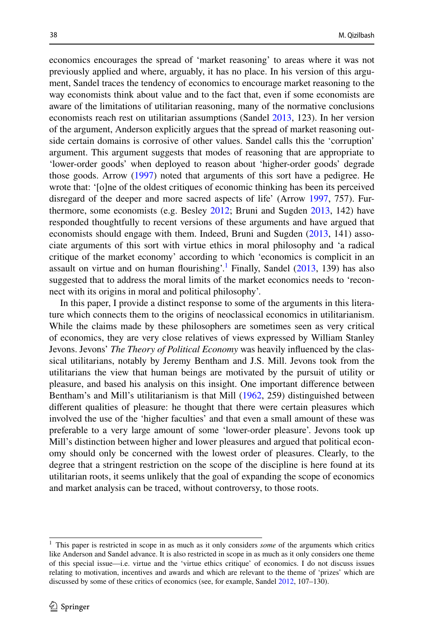economics encourages the spread of 'market reasoning' to areas where it was not previously applied and where, arguably, it has no place. In his version of this argument, Sandel traces the tendency of economics to encourage market reasoning to the way economists think about value and to the fact that, even if some economists are aware of the limitations of utilitarian reasoning, many of the normative conclusions economists reach rest on utilitarian assumptions (Sandel [2013](#page-18-3), 123). In her version of the argument, Anderson explicitly argues that the spread of market reasoning outside certain domains is corrosive of other values. Sandel calls this the 'corruption' argument. This argument suggests that modes of reasoning that are appropriate to 'lower-order goods' when deployed to reason about 'higher-order goods' degrade those goods. Arrow [\(1997](#page-18-4)) noted that arguments of this sort have a pedigree. He wrote that: '[o]ne of the oldest critiques of economic thinking has been its perceived disregard of the deeper and more sacred aspects of life' (Arrow [1997](#page-18-4), 757). Furthermore, some economists (e.g. Besley [2012](#page-18-5); Bruni and Sugden [2013](#page-19-0), 142) have responded thoughtfully to recent versions of these arguments and have argued that economists should engage with them. Indeed, Bruni and Sugden ([2013,](#page-19-0) 141) associate arguments of this sort with virtue ethics in moral philosophy and 'a radical critique of the market economy' according to which 'economics is complicit in an assault on virtue and on human flourishing'.<sup>[1](#page-2-0)</sup> Finally, Sandel ([2013,](#page-18-3) 139) has also suggested that to address the moral limits of the market economics needs to 'reconnect with its origins in moral and political philosophy'.

In this paper, I provide a distinct response to some of the arguments in this literature which connects them to the origins of neoclassical economics in utilitarianism. While the claims made by these philosophers are sometimes seen as very critical of economics, they are very close relatives of views expressed by William Stanley Jevons. Jevons' *The Theory of Political Economy* was heavily influenced by the classical utilitarians, notably by Jeremy Bentham and J.S. Mill. Jevons took from the utilitarians the view that human beings are motivated by the pursuit of utility or pleasure, and based his analysis on this insight. One important difference between Bentham's and Mill's utilitarianism is that Mill [\(1962](#page-18-6), 259) distinguished between different qualities of pleasure: he thought that there were certain pleasures which involved the use of the 'higher faculties' and that even a small amount of these was preferable to a very large amount of some 'lower-order pleasure'. Jevons took up Mill's distinction between higher and lower pleasures and argued that political economy should only be concerned with the lowest order of pleasures. Clearly, to the degree that a stringent restriction on the scope of the discipline is here found at its utilitarian roots, it seems unlikely that the goal of expanding the scope of economics and market analysis can be traced, without controversy, to those roots.

<span id="page-2-0"></span><sup>&</sup>lt;sup>1</sup> This paper is restricted in scope in as much as it only considers *some* of the arguments which critics like Anderson and Sandel advance. It is also restricted in scope in as much as it only considers one theme of this special issue—i.e. virtue and the 'virtue ethics critique' of economics. I do not discuss issues relating to motivation, incentives and awards and which are relevant to the theme of 'prizes' which are discussed by some of these critics of economics (see, for example, Sandel [2012,](#page-18-2) 107–130).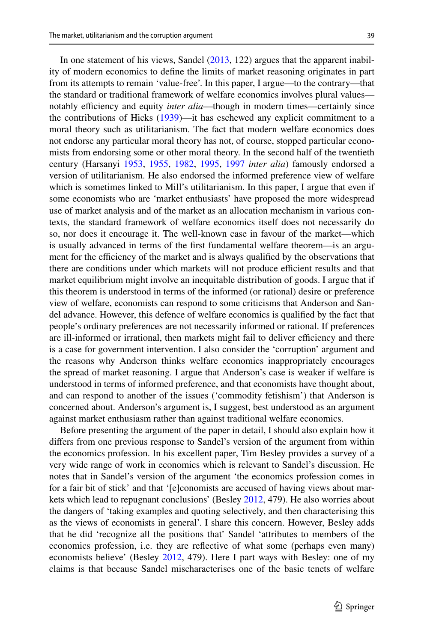In one statement of his views, Sandel ([2013,](#page-18-3) 122) argues that the apparent inability of modern economics to define the limits of market reasoning originates in part from its attempts to remain 'value-free'. In this paper, I argue—to the contrary—that the standard or traditional framework of welfare economics involves plural values notably efficiency and equity *inter alia*—though in modern times—certainly since the contributions of Hicks ([1939\)](#page-18-7)—it has eschewed any explicit commitment to a moral theory such as utilitarianism. The fact that modern welfare economics does not endorse any particular moral theory has not, of course, stopped particular economists from endorsing some or other moral theory. In the second half of the twentieth century (Harsanyi [1953](#page-18-8), [1955,](#page-18-9) [1982](#page-18-10), [1995](#page-18-11), [1997](#page-18-12) *inter alia*) famously endorsed a version of utilitarianism. He also endorsed the informed preference view of welfare which is sometimes linked to Mill's utilitarianism. In this paper, I argue that even if some economists who are 'market enthusiasts' have proposed the more widespread use of market analysis and of the market as an allocation mechanism in various contexts, the standard framework of welfare economics itself does not necessarily do so, nor does it encourage it. The well-known case in favour of the market—which is usually advanced in terms of the first fundamental welfare theorem—is an argument for the efficiency of the market and is always qualified by the observations that there are conditions under which markets will not produce efficient results and that market equilibrium might involve an inequitable distribution of goods. I argue that if this theorem is understood in terms of the informed (or rational) desire or preference view of welfare, economists can respond to some criticisms that Anderson and Sandel advance. However, this defence of welfare economics is qualified by the fact that people's ordinary preferences are not necessarily informed or rational. If preferences are ill-informed or irrational, then markets might fail to deliver efficiency and there is a case for government intervention. I also consider the 'corruption' argument and the reasons why Anderson thinks welfare economics inappropriately encourages the spread of market reasoning. I argue that Anderson's case is weaker if welfare is understood in terms of informed preference, and that economists have thought about, and can respond to another of the issues ('commodity fetishism') that Anderson is concerned about. Anderson's argument is, I suggest, best understood as an argument against market enthusiasm rather than against traditional welfare economics.

Before presenting the argument of the paper in detail, I should also explain how it differs from one previous response to Sandel's version of the argument from within the economics profession. In his excellent paper, Tim Besley provides a survey of a very wide range of work in economics which is relevant to Sandel's discussion. He notes that in Sandel's version of the argument 'the economics profession comes in for a fair bit of stick' and that '[e]conomists are accused of having views about markets which lead to repugnant conclusions' (Besley [2012,](#page-18-5) 479). He also worries about the dangers of 'taking examples and quoting selectively, and then characterising this as the views of economists in general'. I share this concern. However, Besley adds that he did 'recognize all the positions that' Sandel 'attributes to members of the economics profession, i.e. they are reflective of what some (perhaps even many) economists believe' (Besley [2012](#page-18-5), 479). Here I part ways with Besley: one of my claims is that because Sandel mischaracterises one of the basic tenets of welfare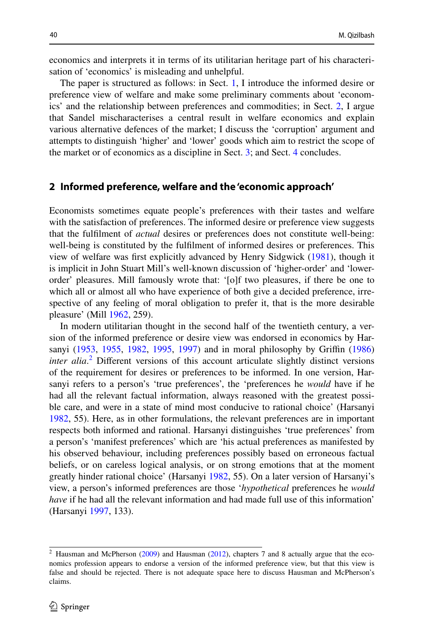economics and interprets it in terms of its utilitarian heritage part of his characterisation of 'economics' is misleading and unhelpful.

The paper is structured as follows: in Sect. [1,](#page-1-0) I introduce the informed desire or preference view of welfare and make some preliminary comments about 'economics' and the relationship between preferences and commodities; in Sect. [2,](#page-4-0) I argue that Sandel mischaracterises a central result in welfare economics and explain various alternative defences of the market; I discuss the 'corruption' argument and attempts to distinguish 'higher' and 'lower' goods which aim to restrict the scope of the market or of economics as a discipline in Sect. [3](#page-7-0); and Sect. [4](#page-12-0) concludes.

#### <span id="page-4-0"></span>**2 Informed preference, welfare and the 'economic approach'**

Economists sometimes equate people's preferences with their tastes and welfare with the satisfaction of preferences. The informed desire or preference view suggests that the fulfilment of *actual* desires or preferences does not constitute well-being: well-being is constituted by the fulfilment of informed desires or preferences. This view of welfare was first explicitly advanced by Henry Sidgwick ([1981\)](#page-19-1), though it is implicit in John Stuart Mill's well-known discussion of 'higher-order' and 'lowerorder' pleasures. Mill famously wrote that: '[o]f two pleasures, if there be one to which all or almost all who have experience of both give a decided preference, irrespective of any feeling of moral obligation to prefer it, that is the more desirable pleasure' (Mill [1962](#page-18-6), 259).

In modern utilitarian thought in the second half of the twentieth century, a version of the informed preference or desire view was endorsed in economics by Harsanyi [\(1953](#page-18-8), [1955,](#page-18-9) [1982,](#page-18-10) [1995](#page-18-11), [1997\)](#page-18-12) and in moral philosophy by Griffin ([1986\)](#page-18-13) *inter alia*. [2](#page-4-1) Different versions of this account articulate slightly distinct versions of the requirement for desires or preferences to be informed. In one version, Harsanyi refers to a person's 'true preferences', the 'preferences he *would* have if he had all the relevant factual information, always reasoned with the greatest possible care, and were in a state of mind most conducive to rational choice' (Harsanyi [1982](#page-18-10), 55). Here, as in other formulations, the relevant preferences are in important respects both informed and rational. Harsanyi distinguishes 'true preferences' from a person's 'manifest preferences' which are 'his actual preferences as manifested by his observed behaviour, including preferences possibly based on erroneous factual beliefs, or on careless logical analysis, or on strong emotions that at the moment greatly hinder rational choice' (Harsanyi [1982,](#page-18-10) 55). On a later version of Harsanyi's view, a person's informed preferences are those '*hypothetical* preferences he *would have* if he had all the relevant information and had made full use of this information' (Harsanyi [1997,](#page-18-12) 133).

<span id="page-4-1"></span><sup>&</sup>lt;sup>2</sup> Hausman and McPherson ([2009\)](#page-18-14) and Hausman [\(2012](#page-18-15)), chapters 7 and 8 actually argue that the economics profession appears to endorse a version of the informed preference view, but that this view is false and should be rejected. There is not adequate space here to discuss Hausman and McPherson's claims.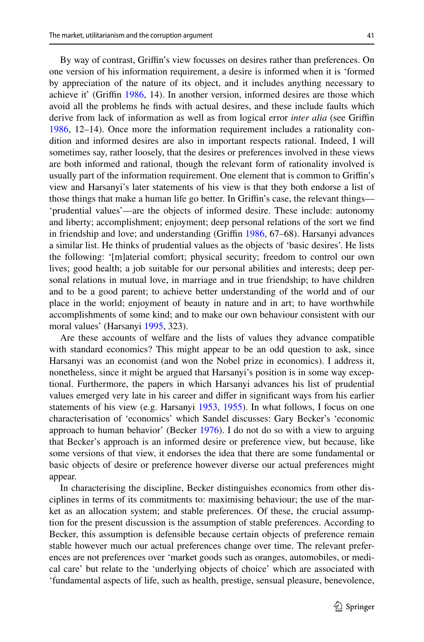By way of contrast, Griffin's view focusses on desires rather than preferences. On one version of his information requirement, a desire is informed when it is 'formed by appreciation of the nature of its object, and it includes anything necessary to achieve it' (Griffin [1986](#page-18-13), 14). In another version, informed desires are those which avoid all the problems he finds with actual desires, and these include faults which derive from lack of information as well as from logical error *inter alia* (see Griffin [1986](#page-18-13), 12–14). Once more the information requirement includes a rationality condition and informed desires are also in important respects rational. Indeed, I will sometimes say, rather loosely, that the desires or preferences involved in these views are both informed and rational, though the relevant form of rationality involved is usually part of the information requirement. One element that is common to Griffin's view and Harsanyi's later statements of his view is that they both endorse a list of those things that make a human life go better. In Griffin's case, the relevant things— 'prudential values'—are the objects of informed desire. These include: autonomy and liberty; accomplishment; enjoyment; deep personal relations of the sort we find in friendship and love; and understanding (Griffin [1986](#page-18-13), 67–68). Harsanyi advances a similar list. He thinks of prudential values as the objects of 'basic desires'. He lists the following: '[m]aterial comfort; physical security; freedom to control our own lives; good health; a job suitable for our personal abilities and interests; deep personal relations in mutual love, in marriage and in true friendship; to have children and to be a good parent; to achieve better understanding of the world and of our place in the world; enjoyment of beauty in nature and in art; to have worthwhile accomplishments of some kind; and to make our own behaviour consistent with our moral values' (Harsanyi [1995](#page-18-11), 323).

Are these accounts of welfare and the lists of values they advance compatible with standard economics? This might appear to be an odd question to ask, since Harsanyi was an economist (and won the Nobel prize in economics). I address it, nonetheless, since it might be argued that Harsanyi's position is in some way exceptional. Furthermore, the papers in which Harsanyi advances his list of prudential values emerged very late in his career and differ in significant ways from his earlier statements of his view (e.g. Harsanyi [1953,](#page-18-8) [1955](#page-18-9)). In what follows, I focus on one characterisation of 'economics' which Sandel discusses: Gary Becker's 'economic approach to human behavior' (Becker [1976](#page-18-16)). I do not do so with a view to arguing that Becker's approach is an informed desire or preference view, but because, like some versions of that view, it endorses the idea that there are some fundamental or basic objects of desire or preference however diverse our actual preferences might appear.

In characterising the discipline, Becker distinguishes economics from other disciplines in terms of its commitments to: maximising behaviour; the use of the market as an allocation system; and stable preferences. Of these, the crucial assumption for the present discussion is the assumption of stable preferences. According to Becker, this assumption is defensible because certain objects of preference remain stable however much our actual preferences change over time. The relevant preferences are not preferences over 'market goods such as oranges, automobiles, or medical care' but relate to the 'underlying objects of choice' which are associated with 'fundamental aspects of life, such as health, prestige, sensual pleasure, benevolence,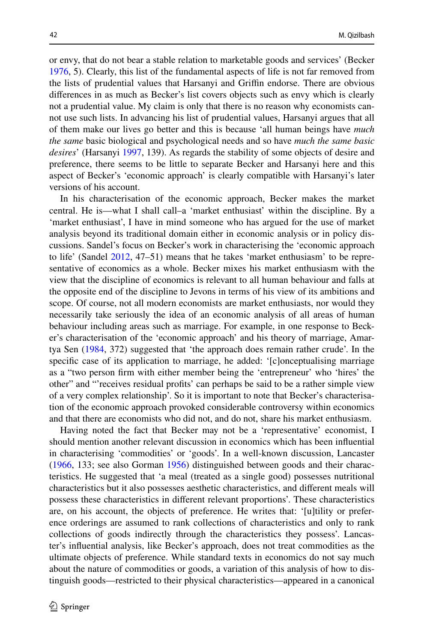or envy, that do not bear a stable relation to marketable goods and services' (Becker [1976](#page-18-16), 5). Clearly, this list of the fundamental aspects of life is not far removed from the lists of prudential values that Harsanyi and Griffin endorse. There are obvious differences in as much as Becker's list covers objects such as envy which is clearly not a prudential value. My claim is only that there is no reason why economists cannot use such lists. In advancing his list of prudential values, Harsanyi argues that all of them make our lives go better and this is because 'all human beings have *much the same* basic biological and psychological needs and so have *much the same basic desires*' (Harsanyi [1997,](#page-18-12) 139). As regards the stability of some objects of desire and preference, there seems to be little to separate Becker and Harsanyi here and this aspect of Becker's 'economic approach' is clearly compatible with Harsanyi's later versions of his account.

In his characterisation of the economic approach, Becker makes the market central. He is—what I shall call–a 'market enthusiast' within the discipline. By a 'market enthusiast', I have in mind someone who has argued for the use of market analysis beyond its traditional domain either in economic analysis or in policy discussions. Sandel's focus on Becker's work in characterising the 'economic approach to life' (Sandel [2012,](#page-18-2) 47–51) means that he takes 'market enthusiasm' to be representative of economics as a whole. Becker mixes his market enthusiasm with the view that the discipline of economics is relevant to all human behaviour and falls at the opposite end of the discipline to Jevons in terms of his view of its ambitions and scope. Of course, not all modern economists are market enthusiasts, nor would they necessarily take seriously the idea of an economic analysis of all areas of human behaviour including areas such as marriage. For example, in one response to Becker's characterisation of the 'economic approach' and his theory of marriage, Amartya Sen ([1984,](#page-18-17) 372) suggested that 'the approach does remain rather crude'. In the specific case of its application to marriage, he added: '[c]onceptualising marriage as a "two person firm with either member being the 'entrepreneur' who 'hires' the other" and "'receives residual profits' can perhaps be said to be a rather simple view of a very complex relationship'. So it is important to note that Becker's characterisation of the economic approach provoked considerable controversy within economics and that there are economists who did not, and do not, share his market enthusiasm.

Having noted the fact that Becker may not be a 'representative' economist, I should mention another relevant discussion in economics which has been influential in characterising 'commodities' or 'goods'. In a well-known discussion, Lancaster [\(1966](#page-18-18), 133; see also Gorman [1956\)](#page-18-19) distinguished between goods and their characteristics. He suggested that 'a meal (treated as a single good) possesses nutritional characteristics but it also possesses aesthetic characteristics, and different meals will possess these characteristics in different relevant proportions'. These characteristics are, on his account, the objects of preference. He writes that: '[u]tility or preference orderings are assumed to rank collections of characteristics and only to rank collections of goods indirectly through the characteristics they possess'. Lancaster's influential analysis, like Becker's approach, does not treat commodities as the ultimate objects of preference. While standard texts in economics do not say much about the nature of commodities or goods, a variation of this analysis of how to distinguish goods—restricted to their physical characteristics—appeared in a canonical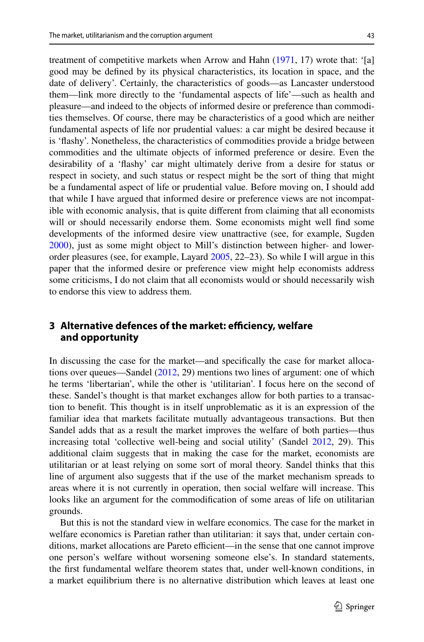treatment of competitive markets when Arrow and Hahn ([1971,](#page-18-20) 17) wrote that: '[a] good may be defined by its physical characteristics, its location in space, and the date of delivery'. Certainly, the characteristics of goods—as Lancaster understood them—link more directly to the 'fundamental aspects of life'—such as health and pleasure—and indeed to the objects of informed desire or preference than commodities themselves. Of course, there may be characteristics of a good which are neither fundamental aspects of life nor prudential values: a car might be desired because it is 'flashy'. Nonetheless, the characteristics of commodities provide a bridge between commodities and the ultimate objects of informed preference or desire. Even the desirability of a 'flashy' car might ultimately derive from a desire for status or respect in society, and such status or respect might be the sort of thing that might be a fundamental aspect of life or prudential value. Before moving on, I should add that while I have argued that informed desire or preference views are not incompatible with economic analysis, that is quite different from claiming that all economists will or should necessarily endorse them. Some economists might well find some developments of the informed desire view unattractive (see, for example, Sugden [2000](#page-19-2)), just as some might object to Mill's distinction between higher- and lowerorder pleasures (see, for example, Layard [2005,](#page-18-21) 22–23). So while I will argue in this paper that the informed desire or preference view might help economists address some criticisms, I do not claim that all economists would or should necessarily wish to endorse this view to address them.

# <span id="page-7-0"></span>**3 Alternative defences of the market: efficiency, welfare and opportunity**

In discussing the case for the market—and specifically the case for market allocations over queues—Sandel ([2012,](#page-18-2) 29) mentions two lines of argument: one of which he terms 'libertarian', while the other is 'utilitarian'. I focus here on the second of these. Sandel's thought is that market exchanges allow for both parties to a transaction to benefit. This thought is in itself unproblematic as it is an expression of the familiar idea that markets facilitate mutually advantageous transactions. But then Sandel adds that as a result the market improves the welfare of both parties—thus increasing total 'collective well-being and social utility' (Sandel [2012,](#page-18-2) 29). This additional claim suggests that in making the case for the market, economists are utilitarian or at least relying on some sort of moral theory. Sandel thinks that this line of argument also suggests that if the use of the market mechanism spreads to areas where it is not currently in operation, then social welfare will increase. This looks like an argument for the commodification of some areas of life on utilitarian grounds.

But this is not the standard view in welfare economics. The case for the market in welfare economics is Paretian rather than utilitarian: it says that, under certain conditions, market allocations are Pareto efficient—in the sense that one cannot improve one person's welfare without worsening someone else's. In standard statements, the first fundamental welfare theorem states that, under well-known conditions, in a market equilibrium there is no alternative distribution which leaves at least one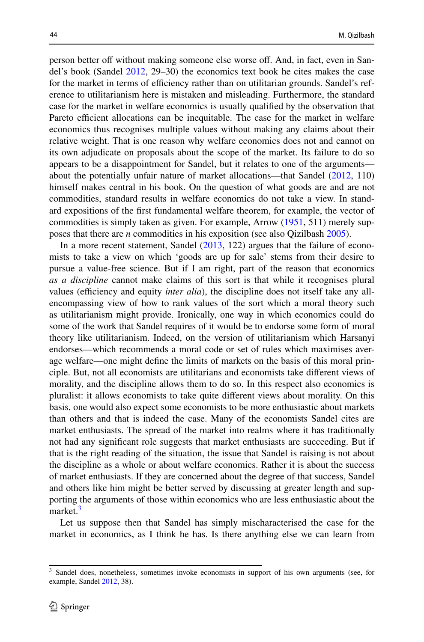person better off without making someone else worse off. And, in fact, even in Sandel's book (Sandel [2012,](#page-18-2) 29–30) the economics text book he cites makes the case for the market in terms of efficiency rather than on utilitarian grounds. Sandel's reference to utilitarianism here is mistaken and misleading. Furthermore, the standard case for the market in welfare economics is usually qualified by the observation that Pareto efficient allocations can be inequitable. The case for the market in welfare economics thus recognises multiple values without making any claims about their relative weight. That is one reason why welfare economics does not and cannot on its own adjudicate on proposals about the scope of the market. Its failure to do so appears to be a disappointment for Sandel, but it relates to one of the arguments about the potentially unfair nature of market allocations—that Sandel ([2012,](#page-18-2) 110) himself makes central in his book. On the question of what goods are and are not commodities, standard results in welfare economics do not take a view. In standard expositions of the first fundamental welfare theorem, for example, the vector of commodities is simply taken as given. For example, Arrow ([1951,](#page-18-22) 511) merely supposes that there are *n* commodities in his exposition (see also Qizilbash [2005\)](#page-18-23).

In a more recent statement, Sandel ([2013,](#page-18-3) 122) argues that the failure of economists to take a view on which 'goods are up for sale' stems from their desire to pursue a value-free science. But if I am right, part of the reason that economics *as a discipline* cannot make claims of this sort is that while it recognises plural values (efficiency and equity *inter alia*), the discipline does not itself take any allencompassing view of how to rank values of the sort which a moral theory such as utilitarianism might provide. Ironically, one way in which economics could do some of the work that Sandel requires of it would be to endorse some form of moral theory like utilitarianism. Indeed, on the version of utilitarianism which Harsanyi endorses—which recommends a moral code or set of rules which maximises average welfare—one might define the limits of markets on the basis of this moral principle. But, not all economists are utilitarians and economists take different views of morality, and the discipline allows them to do so. In this respect also economics is pluralist: it allows economists to take quite different views about morality. On this basis, one would also expect some economists to be more enthusiastic about markets than others and that is indeed the case. Many of the economists Sandel cites are market enthusiasts. The spread of the market into realms where it has traditionally not had any significant role suggests that market enthusiasts are succeeding. But if that is the right reading of the situation, the issue that Sandel is raising is not about the discipline as a whole or about welfare economics. Rather it is about the success of market enthusiasts. If they are concerned about the degree of that success, Sandel and others like him might be better served by discussing at greater length and supporting the arguments of those within economics who are less enthusiastic about the market.<sup>[3](#page-8-0)</sup>

Let us suppose then that Sandel has simply mischaracterised the case for the market in economics, as I think he has. Is there anything else we can learn from

<span id="page-8-0"></span><sup>&</sup>lt;sup>3</sup> Sandel does, nonetheless, sometimes invoke economists in support of his own arguments (see, for example, Sandel [2012,](#page-18-2) 38).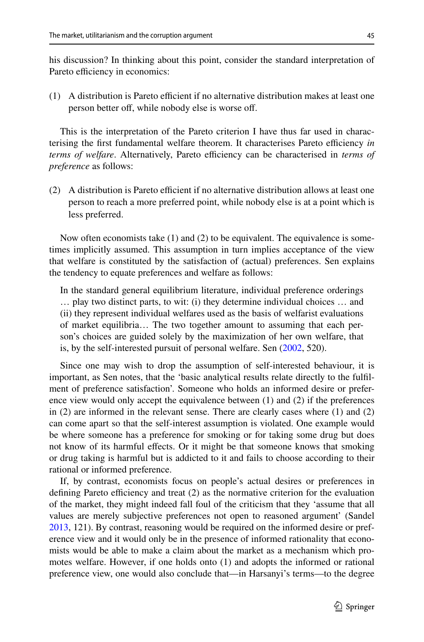his discussion? In thinking about this point, consider the standard interpretation of Pareto efficiency in economics:

(1) A distribution is Pareto efficient if no alternative distribution makes at least one person better off, while nobody else is worse off.

This is the interpretation of the Pareto criterion I have thus far used in characterising the first fundamental welfare theorem. It characterises Pareto efficiency *in terms of welfare*. Alternatively, Pareto efficiency can be characterised in *terms of preference* as follows:

(2) A distribution is Pareto efficient if no alternative distribution allows at least one person to reach a more preferred point, while nobody else is at a point which is less preferred.

Now often economists take (1) and (2) to be equivalent. The equivalence is sometimes implicitly assumed. This assumption in turn implies acceptance of the view that welfare is constituted by the satisfaction of (actual) preferences. Sen explains the tendency to equate preferences and welfare as follows:

In the standard general equilibrium literature, individual preference orderings … play two distinct parts, to wit: (i) they determine individual choices … and (ii) they represent individual welfares used as the basis of welfarist evaluations of market equilibria… The two together amount to assuming that each person's choices are guided solely by the maximization of her own welfare, that is, by the self-interested pursuit of personal welfare. Sen [\(2002](#page-19-3), 520).

Since one may wish to drop the assumption of self-interested behaviour, it is important, as Sen notes, that the 'basic analytical results relate directly to the fulfilment of preference satisfaction'. Someone who holds an informed desire or preference view would only accept the equivalence between (1) and (2) if the preferences in (2) are informed in the relevant sense. There are clearly cases where (1) and (2) can come apart so that the self-interest assumption is violated. One example would be where someone has a preference for smoking or for taking some drug but does not know of its harmful effects. Or it might be that someone knows that smoking or drug taking is harmful but is addicted to it and fails to choose according to their rational or informed preference.

If, by contrast, economists focus on people's actual desires or preferences in defining Pareto efficiency and treat (2) as the normative criterion for the evaluation of the market, they might indeed fall foul of the criticism that they 'assume that all values are merely subjective preferences not open to reasoned argument' (Sandel [2013](#page-18-3), 121). By contrast, reasoning would be required on the informed desire or preference view and it would only be in the presence of informed rationality that economists would be able to make a claim about the market as a mechanism which promotes welfare. However, if one holds onto (1) and adopts the informed or rational preference view, one would also conclude that—in Harsanyi's terms—to the degree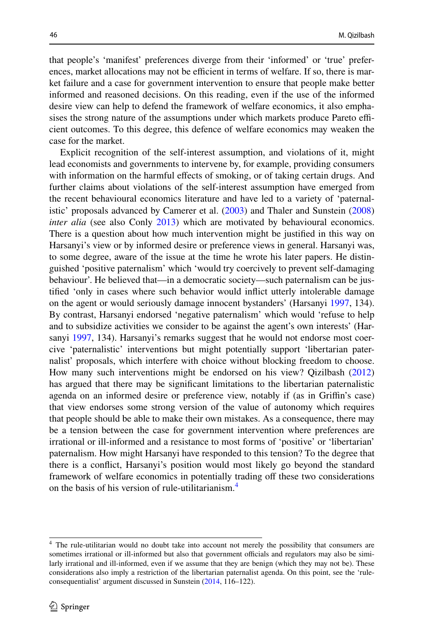that people's 'manifest' preferences diverge from their 'informed' or 'true' preferences, market allocations may not be efficient in terms of welfare. If so, there is market failure and a case for government intervention to ensure that people make better informed and reasoned decisions. On this reading, even if the use of the informed desire view can help to defend the framework of welfare economics, it also emphasises the strong nature of the assumptions under which markets produce Pareto efficient outcomes. To this degree, this defence of welfare economics may weaken the case for the market.

Explicit recognition of the self-interest assumption, and violations of it, might lead economists and governments to intervene by, for example, providing consumers with information on the harmful effects of smoking, or of taking certain drugs. And further claims about violations of the self-interest assumption have emerged from the recent behavioural economics literature and have led to a variety of 'paternalistic' proposals advanced by Camerer et al. [\(2003](#page-18-24)) and Thaler and Sunstein ([2008\)](#page-19-4) *inter alia* (see also Conly [2013](#page-18-25)) which are motivated by behavioural economics. There is a question about how much intervention might be justified in this way on Harsanyi's view or by informed desire or preference views in general. Harsanyi was, to some degree, aware of the issue at the time he wrote his later papers. He distinguished 'positive paternalism' which 'would try coercively to prevent self-damaging behaviour'. He believed that—in a democratic society—such paternalism can be justified 'only in cases where such behavior would inflict utterly intolerable damage on the agent or would seriously damage innocent bystanders' (Harsanyi [1997](#page-18-12), 134). By contrast, Harsanyi endorsed 'negative paternalism' which would 'refuse to help and to subsidize activities we consider to be against the agent's own interests' (Harsanyi [1997,](#page-18-12) 134). Harsanyi's remarks suggest that he would not endorse most coercive 'paternalistic' interventions but might potentially support 'libertarian paternalist' proposals, which interfere with choice without blocking freedom to choose. How many such interventions might be endorsed on his view? Qizilbash [\(2012](#page-18-26)) has argued that there may be significant limitations to the libertarian paternalistic agenda on an informed desire or preference view, notably if (as in Griffin's case) that view endorses some strong version of the value of autonomy which requires that people should be able to make their own mistakes. As a consequence, there may be a tension between the case for government intervention where preferences are irrational or ill-informed and a resistance to most forms of 'positive' or 'libertarian' paternalism. How might Harsanyi have responded to this tension? To the degree that there is a conflict, Harsanyi's position would most likely go beyond the standard framework of welfare economics in potentially trading off these two considerations on the basis of his version of rule-utilitarianism.<sup>[4](#page-10-0)</sup>

<span id="page-10-0"></span><sup>4</sup> The rule-utilitarian would no doubt take into account not merely the possibility that consumers are sometimes irrational or ill-informed but also that government officials and regulators may also be similarly irrational and ill-informed, even if we assume that they are benign (which they may not be). These considerations also imply a restriction of the libertarian paternalist agenda. On this point, see the 'ruleconsequentialist' argument discussed in Sunstein ([2014,](#page-19-5) 116–122).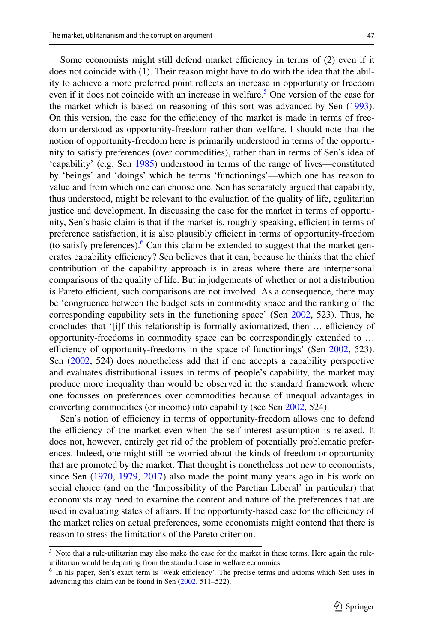Some economists might still defend market efficiency in terms of (2) even if it does not coincide with (1). Their reason might have to do with the idea that the ability to achieve a more preferred point reflects an increase in opportunity or freedom even if it does not coincide with an increase in welfare.<sup>[5](#page-11-0)</sup> One version of the case for the market which is based on reasoning of this sort was advanced by Sen ([1993\)](#page-19-6). On this version, the case for the efficiency of the market is made in terms of freedom understood as opportunity-freedom rather than welfare. I should note that the notion of opportunity-freedom here is primarily understood in terms of the opportunity to satisfy preferences (over commodities), rather than in terms of Sen's idea of 'capability' (e.g. Sen [1985](#page-18-27)) understood in terms of the range of lives—constituted by 'beings' and 'doings' which he terms 'functionings'—which one has reason to value and from which one can choose one. Sen has separately argued that capability, thus understood, might be relevant to the evaluation of the quality of life, egalitarian justice and development. In discussing the case for the market in terms of opportunity, Sen's basic claim is that if the market is, roughly speaking, efficient in terms of preference satisfaction, it is also plausibly efficient in terms of opportunity-freedom (to satisfy preferences). $6$  Can this claim be extended to suggest that the market generates capability efficiency? Sen believes that it can, because he thinks that the chief contribution of the capability approach is in areas where there are interpersonal comparisons of the quality of life. But in judgements of whether or not a distribution is Pareto efficient, such comparisons are not involved. As a consequence, there may be 'congruence between the budget sets in commodity space and the ranking of the corresponding capability sets in the functioning space' (Sen [2002](#page-19-3), 523). Thus, he concludes that '[i]f this relationship is formally axiomatized, then … efficiency of opportunity-freedoms in commodity space can be correspondingly extended to … efficiency of opportunity-freedoms in the space of functionings' (Sen [2002](#page-19-3), 523). Sen [\(2002](#page-19-3), 524) does nonetheless add that if one accepts a capability perspective and evaluates distributional issues in terms of people's capability, the market may produce more inequality than would be observed in the standard framework where one focusses on preferences over commodities because of unequal advantages in converting commodities (or income) into capability (see Sen [2002,](#page-19-3) 524).

Sen's notion of efficiency in terms of opportunity-freedom allows one to defend the efficiency of the market even when the self-interest assumption is relaxed. It does not, however, entirely get rid of the problem of potentially problematic preferences. Indeed, one might still be worried about the kinds of freedom or opportunity that are promoted by the market. That thought is nonetheless not new to economists, since Sen ([1970,](#page-18-28) [1979,](#page-18-29) [2017\)](#page-19-7) also made the point many years ago in his work on social choice (and on the 'Impossibility of the Paretian Liberal' in particular) that economists may need to examine the content and nature of the preferences that are used in evaluating states of affairs. If the opportunity-based case for the efficiency of the market relies on actual preferences, some economists might contend that there is reason to stress the limitations of the Pareto criterion.

<span id="page-11-0"></span><sup>&</sup>lt;sup>5</sup> Note that a rule-utilitarian may also make the case for the market in these terms. Here again the ruleutilitarian would be departing from the standard case in welfare economics.

<span id="page-11-1"></span><sup>&</sup>lt;sup>6</sup> In his paper, Sen's exact term is 'weak efficiency'. The precise terms and axioms which Sen uses in advancing this claim can be found in Sen [\(2002](#page-19-3), 511–522).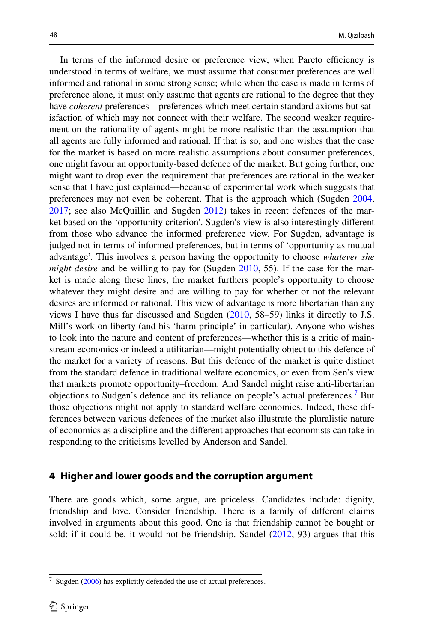In terms of the informed desire or preference view, when Pareto efficiency is understood in terms of welfare, we must assume that consumer preferences are well informed and rational in some strong sense; while when the case is made in terms of preference alone, it must only assume that agents are rational to the degree that they have *coherent* preferences—preferences which meet certain standard axioms but satisfaction of which may not connect with their welfare. The second weaker requirement on the rationality of agents might be more realistic than the assumption that all agents are fully informed and rational. If that is so, and one wishes that the case for the market is based on more realistic assumptions about consumer preferences, one might favour an opportunity-based defence of the market. But going further, one might want to drop even the requirement that preferences are rational in the weaker sense that I have just explained—because of experimental work which suggests that preferences may not even be coherent. That is the approach which (Sugden [2004,](#page-19-8) [2017](#page-19-9); see also McQuillin and Sugden [2012\)](#page-19-10) takes in recent defences of the market based on the 'opportunity criterion'. Sugden's view is also interestingly different from those who advance the informed preference view. For Sugden, advantage is judged not in terms of informed preferences, but in terms of 'opportunity as mutual advantage'. This involves a person having the opportunity to choose *whatever she might desire* and be willing to pay for (Sugden [2010,](#page-19-11) 55). If the case for the market is made along these lines, the market furthers people's opportunity to choose whatever they might desire and are willing to pay for whether or not the relevant desires are informed or rational. This view of advantage is more libertarian than any views I have thus far discussed and Sugden [\(2010](#page-19-11), 58–59) links it directly to J.S. Mill's work on liberty (and his 'harm principle' in particular). Anyone who wishes to look into the nature and content of preferences—whether this is a critic of mainstream economics or indeed a utilitarian—might potentially object to this defence of the market for a variety of reasons. But this defence of the market is quite distinct from the standard defence in traditional welfare economics, or even from Sen's view that markets promote opportunity–freedom. And Sandel might raise anti-libertarian objections to Sudgen's defence and its reliance on people's actual preferences.<sup>[7](#page-12-1)</sup> But those objections might not apply to standard welfare economics. Indeed, these differences between various defences of the market also illustrate the pluralistic nature of economics as a discipline and the different approaches that economists can take in responding to the criticisms levelled by Anderson and Sandel.

#### <span id="page-12-0"></span>**4 Higher and lower goods and the corruption argument**

There are goods which, some argue, are priceless. Candidates include: dignity, friendship and love. Consider friendship. There is a family of different claims involved in arguments about this good. One is that friendship cannot be bought or sold: if it could be, it would not be friendship. Sandel [\(2012](#page-18-2), 93) argues that this

<span id="page-12-1"></span> $7$  Sugden [\(2006](#page-19-12)) has explicitly defended the use of actual preferences.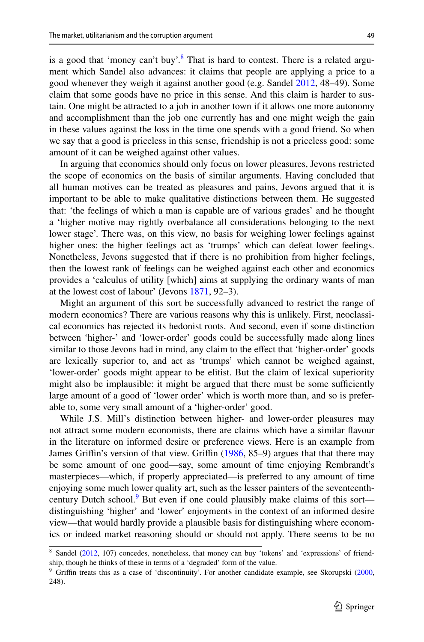is a good that 'money can't buy'.<sup>[8](#page-13-0)</sup> That is hard to contest. There is a related argument which Sandel also advances: it claims that people are applying a price to a good whenever they weigh it against another good (e.g. Sandel [2012,](#page-18-2) 48–49). Some claim that some goods have no price in this sense. And this claim is harder to sustain. One might be attracted to a job in another town if it allows one more autonomy and accomplishment than the job one currently has and one might weigh the gain in these values against the loss in the time one spends with a good friend. So when we say that a good is priceless in this sense, friendship is not a priceless good: some amount of it can be weighed against other values.

In arguing that economics should only focus on lower pleasures, Jevons restricted the scope of economics on the basis of similar arguments. Having concluded that all human motives can be treated as pleasures and pains, Jevons argued that it is important to be able to make qualitative distinctions between them. He suggested that: 'the feelings of which a man is capable are of various grades' and he thought a 'higher motive may rightly overbalance all considerations belonging to the next lower stage'. There was, on this view, no basis for weighing lower feelings against higher ones: the higher feelings act as 'trumps' which can defeat lower feelings. Nonetheless, Jevons suggested that if there is no prohibition from higher feelings, then the lowest rank of feelings can be weighed against each other and economics provides a 'calculus of utility [which] aims at supplying the ordinary wants of man at the lowest cost of labour' (Jevons [1871,](#page-18-0) 92–3).

Might an argument of this sort be successfully advanced to restrict the range of modern economics? There are various reasons why this is unlikely. First, neoclassical economics has rejected its hedonist roots. And second, even if some distinction between 'higher-' and 'lower-order' goods could be successfully made along lines similar to those Jevons had in mind, any claim to the effect that 'higher-order' goods are lexically superior to, and act as 'trumps' which cannot be weighed against, 'lower-order' goods might appear to be elitist. But the claim of lexical superiority might also be implausible: it might be argued that there must be some sufficiently large amount of a good of 'lower order' which is worth more than, and so is preferable to, some very small amount of a 'higher-order' good.

While J.S. Mill's distinction between higher- and lower-order pleasures may not attract some modern economists, there are claims which have a similar flavour in the literature on informed desire or preference views. Here is an example from James Griffin's version of that view. Griffin [\(1986](#page-18-13), 85–9) argues that that there may be some amount of one good—say, some amount of time enjoying Rembrandt's masterpieces—which, if properly appreciated—is preferred to any amount of time enjoying some much lower quality art, such as the lesser painters of the seventeenthcentury Dutch school. $9$  But even if one could plausibly make claims of this sort distinguishing 'higher' and 'lower' enjoyments in the context of an informed desire view—that would hardly provide a plausible basis for distinguishing where economics or indeed market reasoning should or should not apply. There seems to be no

<span id="page-13-0"></span><sup>&</sup>lt;sup>8</sup> Sandel [\(2012](#page-18-2), 107) concedes, nonetheless, that money can buy 'tokens' and 'expressions' of friendship, though he thinks of these in terms of a 'degraded' form of the value.

<span id="page-13-1"></span><sup>&</sup>lt;sup>9</sup> Griffin treats this as a case of 'discontinuity'. For another candidate example, see Skorupski [\(2000](#page-19-13), 248).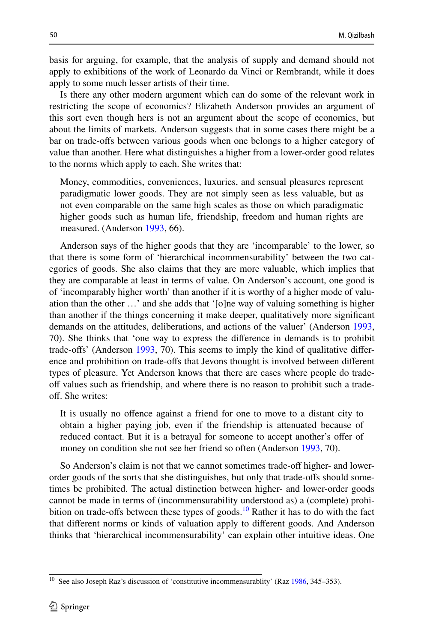basis for arguing, for example, that the analysis of supply and demand should not apply to exhibitions of the work of Leonardo da Vinci or Rembrandt, while it does apply to some much lesser artists of their time.

Is there any other modern argument which can do some of the relevant work in restricting the scope of economics? Elizabeth Anderson provides an argument of this sort even though hers is not an argument about the scope of economics, but about the limits of markets. Anderson suggests that in some cases there might be a bar on trade-offs between various goods when one belongs to a higher category of value than another. Here what distinguishes a higher from a lower-order good relates to the norms which apply to each. She writes that:

Money, commodities, conveniences, luxuries, and sensual pleasures represent paradigmatic lower goods. They are not simply seen as less valuable, but as not even comparable on the same high scales as those on which paradigmatic higher goods such as human life, friendship, freedom and human rights are measured. (Anderson [1993](#page-18-1), 66).

Anderson says of the higher goods that they are 'incomparable' to the lower, so that there is some form of 'hierarchical incommensurability' between the two categories of goods. She also claims that they are more valuable, which implies that they are comparable at least in terms of value. On Anderson's account, one good is of 'incomparably higher worth' than another if it is worthy of a higher mode of valuation than the other …' and she adds that '[o]ne way of valuing something is higher than another if the things concerning it make deeper, qualitatively more significant demands on the attitudes, deliberations, and actions of the valuer' (Anderson [1993,](#page-18-1) 70). She thinks that 'one way to express the difference in demands is to prohibit trade-offs' (Anderson [1993,](#page-18-1) 70). This seems to imply the kind of qualitative difference and prohibition on trade-offs that Jevons thought is involved between different types of pleasure. Yet Anderson knows that there are cases where people do tradeoff values such as friendship, and where there is no reason to prohibit such a tradeoff. She writes:

It is usually no offence against a friend for one to move to a distant city to obtain a higher paying job, even if the friendship is attenuated because of reduced contact. But it is a betrayal for someone to accept another's offer of money on condition she not see her friend so often (Anderson [1993](#page-18-1), 70).

So Anderson's claim is not that we cannot sometimes trade-off higher- and lowerorder goods of the sorts that she distinguishes, but only that trade-offs should sometimes be prohibited. The actual distinction between higher- and lower-order goods cannot be made in terms of (incommensurability understood as) a (complete) prohi-bition on trade-offs between these types of goods.<sup>[10](#page-14-0)</sup> Rather it has to do with the fact that different norms or kinds of valuation apply to different goods. And Anderson thinks that 'hierarchical incommensurability' can explain other intuitive ideas. One

<span id="page-14-0"></span><sup>&</sup>lt;sup>10</sup> See also Joseph Raz's discussion of 'constitutive incommensurablity' (Raz [1986,](#page-18-30) 345–353).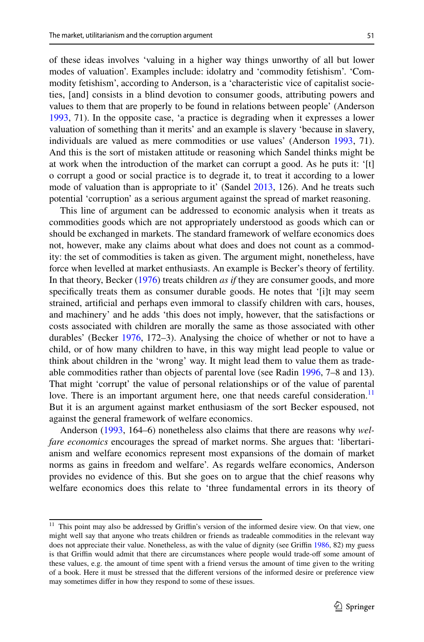of these ideas involves 'valuing in a higher way things unworthy of all but lower modes of valuation'. Examples include: idolatry and 'commodity fetishism'. 'Commodity fetishism', according to Anderson, is a 'characteristic vice of capitalist societies, [and] consists in a blind devotion to consumer goods, attributing powers and values to them that are properly to be found in relations between people' (Anderson [1993](#page-18-1), 71). In the opposite case, 'a practice is degrading when it expresses a lower valuation of something than it merits' and an example is slavery 'because in slavery, individuals are valued as mere commodities or use values' (Anderson [1993](#page-18-1), 71). And this is the sort of mistaken attitude or reasoning which Sandel thinks might be at work when the introduction of the market can corrupt a good. As he puts it: '[t] o corrupt a good or social practice is to degrade it, to treat it according to a lower mode of valuation than is appropriate to it' (Sandel [2013](#page-18-3), 126). And he treats such potential 'corruption' as a serious argument against the spread of market reasoning.

This line of argument can be addressed to economic analysis when it treats as commodities goods which are not appropriately understood as goods which can or should be exchanged in markets. The standard framework of welfare economics does not, however, make any claims about what does and does not count as a commodity: the set of commodities is taken as given. The argument might, nonetheless, have force when levelled at market enthusiasts. An example is Becker's theory of fertility. In that theory, Becker [\(1976](#page-18-16)) treats children *as if* they are consumer goods, and more specifically treats them as consumer durable goods. He notes that '[i]t may seem strained, artificial and perhaps even immoral to classify children with cars, houses, and machinery' and he adds 'this does not imply, however, that the satisfactions or costs associated with children are morally the same as those associated with other durables' (Becker [1976](#page-18-16), 172–3). Analysing the choice of whether or not to have a child, or of how many children to have, in this way might lead people to value or think about children in the 'wrong' way. It might lead them to value them as tradeable commodities rather than objects of parental love (see Radin [1996,](#page-18-31) 7–8 and 13). That might 'corrupt' the value of personal relationships or of the value of parental love. There is an important argument here, one that needs careful consideration.<sup>[11](#page-15-0)</sup> But it is an argument against market enthusiasm of the sort Becker espoused, not against the general framework of welfare economics.

Anderson ([1993,](#page-18-1) 164–6) nonetheless also claims that there are reasons why *welfare economics* encourages the spread of market norms. She argues that: 'libertarianism and welfare economics represent most expansions of the domain of market norms as gains in freedom and welfare'. As regards welfare economics, Anderson provides no evidence of this. But she goes on to argue that the chief reasons why welfare economics does this relate to 'three fundamental errors in its theory of

<span id="page-15-0"></span><sup>&</sup>lt;sup>11</sup> This point may also be addressed by Griffin's version of the informed desire view. On that view, one might well say that anyone who treats children or friends as tradeable commodities in the relevant way does not appreciate their value. Nonetheless, as with the value of dignity (see Griffin [1986](#page-18-13), 82) my guess is that Griffin would admit that there are circumstances where people would trade-off some amount of these values, e.g. the amount of time spent with a friend versus the amount of time given to the writing of a book. Here it must be stressed that the different versions of the informed desire or preference view may sometimes differ in how they respond to some of these issues.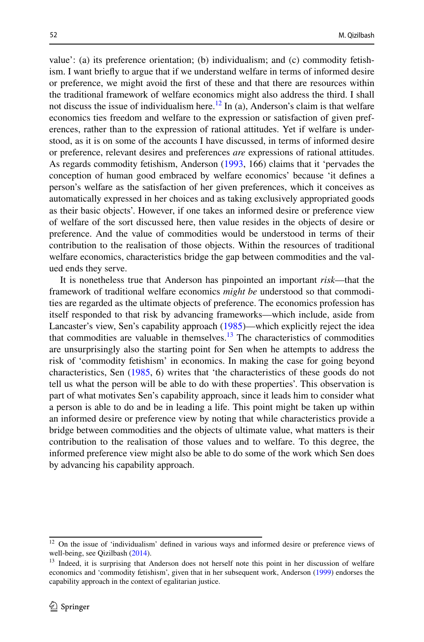value': (a) its preference orientation; (b) individualism; and (c) commodity fetishism. I want briefly to argue that if we understand welfare in terms of informed desire or preference, we might avoid the first of these and that there are resources within the traditional framework of welfare economics might also address the third. I shall not discuss the issue of individualism here.<sup>[12](#page-16-0)</sup> In (a), Anderson's claim is that welfare economics ties freedom and welfare to the expression or satisfaction of given preferences, rather than to the expression of rational attitudes. Yet if welfare is understood, as it is on some of the accounts I have discussed, in terms of informed desire or preference, relevant desires and preferences *are* expressions of rational attitudes. As regards commodity fetishism, Anderson [\(1993](#page-18-1), 166) claims that it 'pervades the conception of human good embraced by welfare economics' because 'it defines a person's welfare as the satisfaction of her given preferences, which it conceives as automatically expressed in her choices and as taking exclusively appropriated goods as their basic objects'. However, if one takes an informed desire or preference view of welfare of the sort discussed here, then value resides in the objects of desire or preference. And the value of commodities would be understood in terms of their contribution to the realisation of those objects. Within the resources of traditional welfare economics, characteristics bridge the gap between commodities and the valued ends they serve.

It is nonetheless true that Anderson has pinpointed an important *risk*—that the framework of traditional welfare economics *might be* understood so that commodities are regarded as the ultimate objects of preference. The economics profession has itself responded to that risk by advancing frameworks—which include, aside from Lancaster's view, Sen's capability approach ([1985\)](#page-18-27)—which explicitly reject the idea that commodities are valuable in themselves. $13$  The characteristics of commodities are unsurprisingly also the starting point for Sen when he attempts to address the risk of 'commodity fetishism' in economics. In making the case for going beyond characteristics, Sen ([1985,](#page-18-27) 6) writes that 'the characteristics of these goods do not tell us what the person will be able to do with these properties'. This observation is part of what motivates Sen's capability approach, since it leads him to consider what a person is able to do and be in leading a life. This point might be taken up within an informed desire or preference view by noting that while characteristics provide a bridge between commodities and the objects of ultimate value, what matters is their contribution to the realisation of those values and to welfare. To this degree, the informed preference view might also be able to do some of the work which Sen does by advancing his capability approach.

<span id="page-16-0"></span><sup>&</sup>lt;sup>12</sup> On the issue of 'individualism' defined in various ways and informed desire or preference views of well-being, see Qizilbash ([2014\)](#page-18-32).

<span id="page-16-1"></span><sup>&</sup>lt;sup>13</sup> Indeed, it is surprising that Anderson does not herself note this point in her discussion of welfare economics and 'commodity fetishism', given that in her subsequent work, Anderson [\(1999](#page-18-33)) endorses the capability approach in the context of egalitarian justice.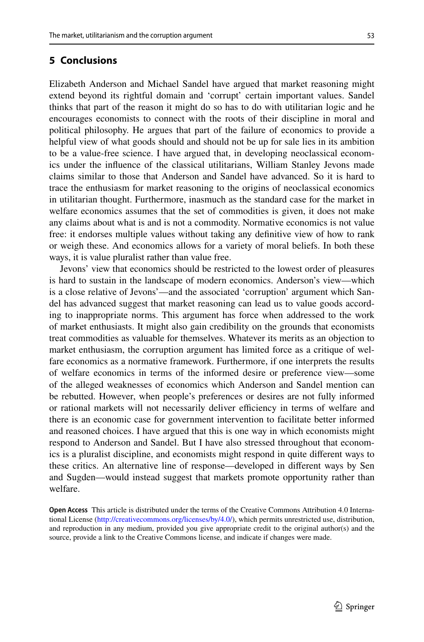Elizabeth Anderson and Michael Sandel have argued that market reasoning might extend beyond its rightful domain and 'corrupt' certain important values. Sandel thinks that part of the reason it might do so has to do with utilitarian logic and he encourages economists to connect with the roots of their discipline in moral and political philosophy. He argues that part of the failure of economics to provide a helpful view of what goods should and should not be up for sale lies in its ambition to be a value-free science. I have argued that, in developing neoclassical economics under the influence of the classical utilitarians, William Stanley Jevons made claims similar to those that Anderson and Sandel have advanced. So it is hard to trace the enthusiasm for market reasoning to the origins of neoclassical economics in utilitarian thought. Furthermore, inasmuch as the standard case for the market in welfare economics assumes that the set of commodities is given, it does not make any claims about what is and is not a commodity. Normative economics is not value free: it endorses multiple values without taking any definitive view of how to rank or weigh these. And economics allows for a variety of moral beliefs. In both these ways, it is value pluralist rather than value free.

Jevons' view that economics should be restricted to the lowest order of pleasures is hard to sustain in the landscape of modern economics. Anderson's view—which is a close relative of Jevons'—and the associated 'corruption' argument which Sandel has advanced suggest that market reasoning can lead us to value goods according to inappropriate norms. This argument has force when addressed to the work of market enthusiasts. It might also gain credibility on the grounds that economists treat commodities as valuable for themselves. Whatever its merits as an objection to market enthusiasm, the corruption argument has limited force as a critique of welfare economics as a normative framework. Furthermore, if one interprets the results of welfare economics in terms of the informed desire or preference view—some of the alleged weaknesses of economics which Anderson and Sandel mention can be rebutted. However, when people's preferences or desires are not fully informed or rational markets will not necessarily deliver efficiency in terms of welfare and there is an economic case for government intervention to facilitate better informed and reasoned choices. I have argued that this is one way in which economists might respond to Anderson and Sandel. But I have also stressed throughout that economics is a pluralist discipline, and economists might respond in quite different ways to these critics. An alternative line of response—developed in different ways by Sen and Sugden—would instead suggest that markets promote opportunity rather than welfare.

**Open Access** This article is distributed under the terms of the Creative Commons Attribution 4.0 International License (http://creativecommons.org/licenses/by/4.0/), which permits unrestricted use, distribution, and reproduction in any medium, provided you give appropriate credit to the original author(s) and the source, provide a link to the Creative Commons license, and indicate if changes were made.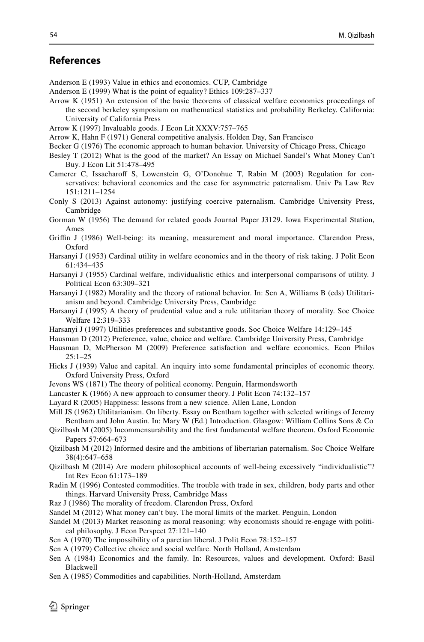### **References**

- <span id="page-18-1"></span>Anderson E (1993) Value in ethics and economics. CUP, Cambridge
- <span id="page-18-33"></span>Anderson E (1999) What is the point of equality? Ethics 109:287–337
- <span id="page-18-22"></span>Arrow K (1951) An extension of the basic theorems of classical welfare economics proceedings of the second berkeley symposium on mathematical statistics and probability Berkeley. California: University of California Press
- <span id="page-18-4"></span>Arrow K (1997) Invaluable goods. J Econ Lit XXXV:757–765
- <span id="page-18-20"></span>Arrow K, Hahn F (1971) General competitive analysis. Holden Day, San Francisco
- <span id="page-18-16"></span>Becker G (1976) The economic approach to human behavior. University of Chicago Press, Chicago
- <span id="page-18-5"></span>Besley T (2012) What is the good of the market? An Essay on Michael Sandel's What Money Can't Buy. J Econ Lit 51:478–495
- <span id="page-18-24"></span>Camerer C, Issacharoff S, Lowenstein G, O'Donohue T, Rabin M (2003) Regulation for conservatives: behavioral economics and the case for asymmetric paternalism. Univ Pa Law Rev 151:1211–1254
- <span id="page-18-25"></span>Conly S (2013) Against autonomy: justifying coercive paternalism. Cambridge University Press, Cambridge
- <span id="page-18-19"></span>Gorman W (1956) The demand for related goods Journal Paper J3129. Iowa Experimental Station, Ames
- <span id="page-18-13"></span>Griffin J (1986) Well-being: its meaning, measurement and moral importance. Clarendon Press, Oxford
- <span id="page-18-8"></span>Harsanyi J (1953) Cardinal utility in welfare economics and in the theory of risk taking. J Polit Econ 61:434–435
- <span id="page-18-9"></span>Harsanyi J (1955) Cardinal welfare, individualistic ethics and interpersonal comparisons of utility. J Political Econ 63:309–321
- <span id="page-18-10"></span>Harsanyi J (1982) Morality and the theory of rational behavior. In: Sen A, Williams B (eds) Utilitarianism and beyond. Cambridge University Press, Cambridge
- <span id="page-18-11"></span>Harsanyi J (1995) A theory of prudential value and a rule utilitarian theory of morality. Soc Choice Welfare 12:319–333
- <span id="page-18-12"></span>Harsanyi J (1997) Utilities preferences and substantive goods. Soc Choice Welfare 14:129–145
- <span id="page-18-15"></span>Hausman D (2012) Preference, value, choice and welfare. Cambridge University Press, Cambridge
- <span id="page-18-14"></span>Hausman D, McPherson M (2009) Preference satisfaction and welfare economics. Econ Philos  $25:1 - 25$
- <span id="page-18-7"></span>Hicks J (1939) Value and capital. An inquiry into some fundamental principles of economic theory. Oxford University Press, Oxford
- <span id="page-18-0"></span>Jevons WS (1871) The theory of political economy. Penguin, Harmondsworth
- <span id="page-18-18"></span>Lancaster K (1966) A new approach to consumer theory. J Polit Econ 74:132–157
- <span id="page-18-21"></span>Layard R (2005) Happiness: lessons from a new science. Allen Lane, London
- <span id="page-18-6"></span>Mill JS (1962) Utilitarianism. On liberty. Essay on Bentham together with selected writings of Jeremy Bentham and John Austin. In: Mary W (Ed.) Introduction. Glasgow: William Collins Sons & Co
- <span id="page-18-23"></span>Qizilbash M (2005) Incommensurability and the first fundamental welfare theorem. Oxford Economic Papers 57:664–673
- <span id="page-18-26"></span>Qizilbash M (2012) Informed desire and the ambitions of libertarian paternalism. Soc Choice Welfare 38(4):647–658
- <span id="page-18-32"></span>Qizilbash M (2014) Are modern philosophical accounts of well-being excessively "individualistic"? Int Rev Econ 61:173–189
- <span id="page-18-31"></span>Radin M (1996) Contested commodities. The trouble with trade in sex, children, body parts and other things. Harvard University Press, Cambridge Mass
- <span id="page-18-30"></span>Raz J (1986) The morality of freedom. Clarendon Press, Oxford
- <span id="page-18-2"></span>Sandel M (2012) What money can't buy. The moral limits of the market. Penguin, London
- <span id="page-18-3"></span>Sandel M (2013) Market reasoning as moral reasoning: why economists should re-engage with political philosophy. J Econ Perspect 27:121–140
- <span id="page-18-28"></span>Sen A (1970) The impossibility of a paretian liberal. J Polit Econ 78:152–157
- <span id="page-18-29"></span>Sen A (1979) Collective choice and social welfare. North Holland, Amsterdam
- <span id="page-18-17"></span>Sen A (1984) Economics and the family. In: Resources, values and development. Oxford: Basil Blackwell
- <span id="page-18-27"></span>Sen A (1985) Commodities and capabilities. North-Holland, Amsterdam